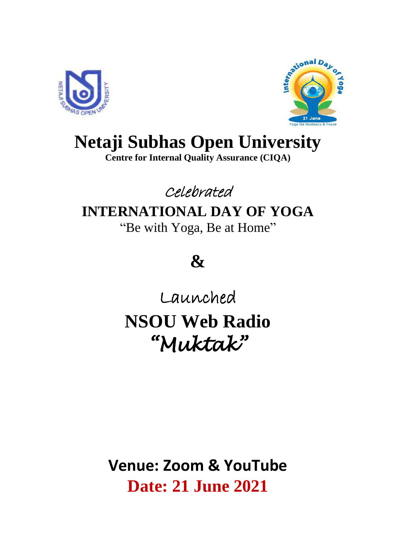



## **Netaji Subhas Open University**

**Centre for Internal Quality Assurance (CIQA)**

### Celebrated

### **INTERNATIONAL DAY OF YOGA**

"Be with Yoga, Be at Home"

# **&**

Launched

**NSOU Web Radio** *"Muktak"* 

**Venue: Zoom & YouTube Date: 21 June 2021**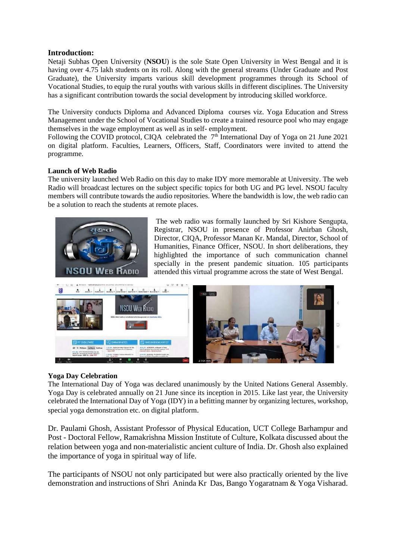#### **Introduction:**

Netaji Subhas Open University (**NSOU**) is the sole State Open University in West Bengal and it is having over 4.75 lakh students on its roll. Along with the general streams (Under Graduate and Post Graduate), the University imparts various skill development programmes through its School of Vocational Studies, to equip the rural youths with various skills in different disciplines. The University has a significant contribution towards the social development by introducing skilled workforce.

The University conducts Diploma and Advanced Diploma courses viz. Yoga Education and Stress Management under the School of Vocational Studies to create a trained resource pool who may engage themselves in the wage employment as well as in self- employment.

Following the COVID protocol, CIQA celebrated the  $7<sup>th</sup>$  International Day of Yoga on 21 June 2021 on digital platform. Faculties, Learners, Officers, Staff, Coordinators were invited to attend the programme.

#### **Launch of Web Radio**

The university launched Web Radio on this day to make IDY more memorable at University. The web Radio will broadcast lectures on the subject specific topics for both UG and PG level. NSOU faculty members will contribute towards the audio repositories. Where the bandwidth is low, the web radio can be a solution to reach the students at remote places.



The web radio was formally launched by Sri Kishore Sengupta, Registrar, NSOU in presence of Professor Anirban Ghosh, Director, CIQA, Professor Manan Kr. Mandal, Director, School of Humanities, Finance Officer, NSOU. In short deliberations, they highlighted the importance of such communication channel specially in the present pandemic situation. 105 participants attended this virtual programme across the state of West Bengal.



#### **Yoga Day Celebration**

The International Day of Yoga was declared unanimously by the United Nations General Assembly. Yoga Day is celebrated annually on 21 June since its inception in 2015. Like last year, the University celebrated the International Day of Yoga (IDY) in a befitting manner by organizing lectures, workshop, special yoga demonstration etc. on digital platform.

Dr. Paulami Ghosh, Assistant Professor of Physical Education, UCT College Barhampur and Post - Doctoral Fellow, Ramakrishna Mission Institute of Culture, Kolkata discussed about the relation between yoga and non-materialistic ancient culture of India. Dr. Ghosh also explained the importance of yoga in spiritual way of life.

The participants of NSOU not only participated but were also practically oriented by the live demonstration and instructions of Shri Aninda Kr Das, Bango Yogaratnam & Yoga Visharad.